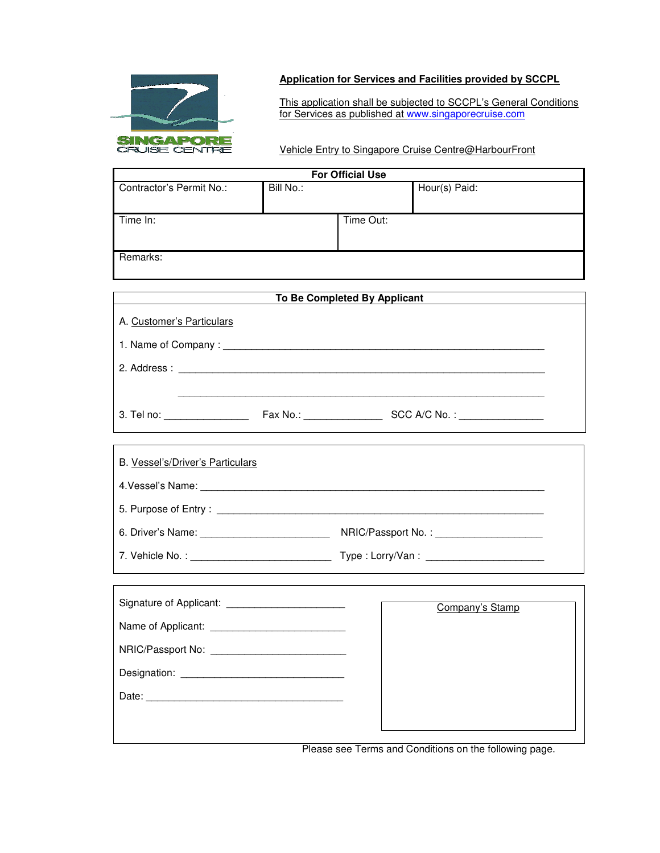

## **Application for Services and Facilities provided by SCCPL**

This application shall be subjected to SCCPL's General Conditions for Services as published at www.singaporecruise.com

Vehicle Entry to Singapore Cruise Centre@HarbourFront

| <b>For Official Use</b>  |           |           |               |  |
|--------------------------|-----------|-----------|---------------|--|
| Contractor's Permit No.: | Bill No.: |           | Hour(s) Paid: |  |
| Time In:                 |           | Time Out: |               |  |
| Remarks:                 |           |           |               |  |

| To Be Completed By Applicant                     |  |                 |  |  |
|--------------------------------------------------|--|-----------------|--|--|
| A. Customer's Particulars                        |  |                 |  |  |
|                                                  |  |                 |  |  |
|                                                  |  |                 |  |  |
|                                                  |  |                 |  |  |
|                                                  |  |                 |  |  |
|                                                  |  |                 |  |  |
| B. Vessel's/Driver's Particulars                 |  |                 |  |  |
|                                                  |  |                 |  |  |
|                                                  |  |                 |  |  |
|                                                  |  |                 |  |  |
|                                                  |  |                 |  |  |
|                                                  |  |                 |  |  |
|                                                  |  | Company's Stamp |  |  |
|                                                  |  |                 |  |  |
| NRIC/Passport No: ______________________________ |  |                 |  |  |
|                                                  |  |                 |  |  |
|                                                  |  |                 |  |  |

Please see Terms and Conditions on the following page.